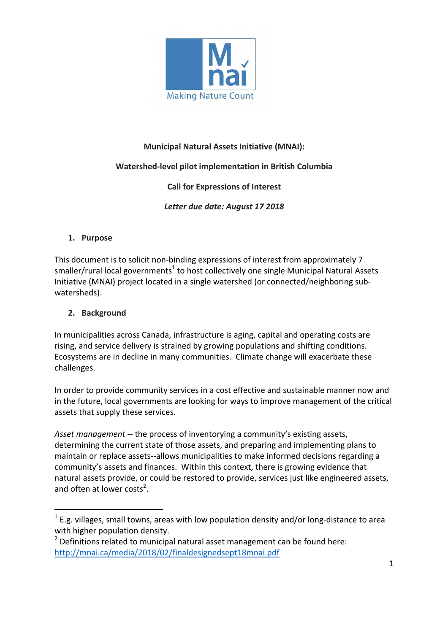

### **Municipal Natural Assets Initiative (MNAI):**

#### **Watershed-level pilot implementation in British Columbia**

#### **Call for Expressions of Interest**

*Letter due date: August 17 2018*

#### **1. Purpose**

This document is to solicit non-binding expressions of interest from approximately 7 smaller/rural local governments<sup>1</sup> to host collectively one single Municipal Natural Assets Initiative (MNAI) project located in a single watershed (or connected/neighboring subwatersheds).

#### **2. Background**

 

In municipalities across Canada, infrastructure is aging, capital and operating costs are rising, and service delivery is strained by growing populations and shifting conditions. Ecosystems are in decline in many communities. Climate change will exacerbate these challenges. 

In order to provide community services in a cost effective and sustainable manner now and in the future, local governments are looking for ways to improve management of the critical assets that supply these services.

Asset management -- the process of inventorying a community's existing assets, determining the current state of those assets, and preparing and implementing plans to maintain or replace assets--allows municipalities to make informed decisions regarding a community's assets and finances. Within this context, there is growing evidence that natural assets provide, or could be restored to provide, services just like engineered assets, and often at lower costs<sup>2</sup>.

 $1$  E.g. villages, small towns, areas with low population density and/or long-distance to area with higher population density.

 $2$  Definitions related to municipal natural asset management can be found here: http://mnai.ca/media/2018/02/finaldesignedsept18mnai.pdf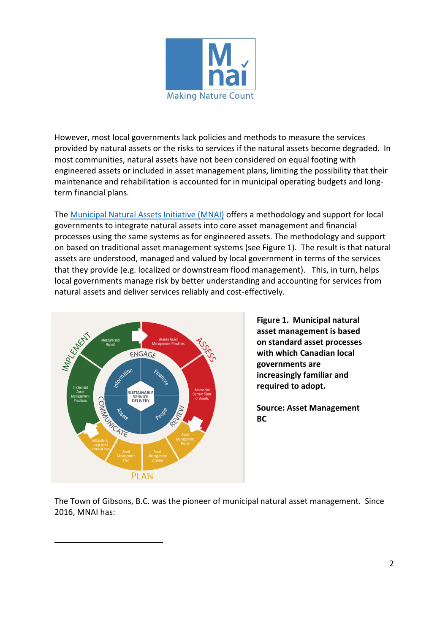

However, most local governments lack policies and methods to measure the services provided by natural assets or the risks to services if the natural assets become degraded. In most communities, natural assets have not been considered on equal footing with engineered assets or included in asset management plans, limiting the possibility that their maintenance and rehabilitation is accounted for in municipal operating budgets and longterm financial plans.

The Municipal Natural Assets Initiative (MNAI) offers a methodology and support for local governments to integrate natural assets into core asset management and financial processes using the same systems as for engineered assets. The methodology and support on based on traditional asset management systems (see Figure 1). The result is that natural assets are understood, managed and valued by local government in terms of the services that they provide (e.g. localized or downstream flood management). This, in turn, helps local governments manage risk by better understanding and accounting for services from natural assets and deliver services reliably and cost-effectively.



 

**Figure 1. Municipal natural** asset management is based **on standard asset processes**  with which Canadian local **governments are increasingly familiar and** required to adopt.

**Source: Asset Management BC**

The Town of Gibsons, B.C. was the pioneer of municipal natural asset management. Since 2016, MNAI has: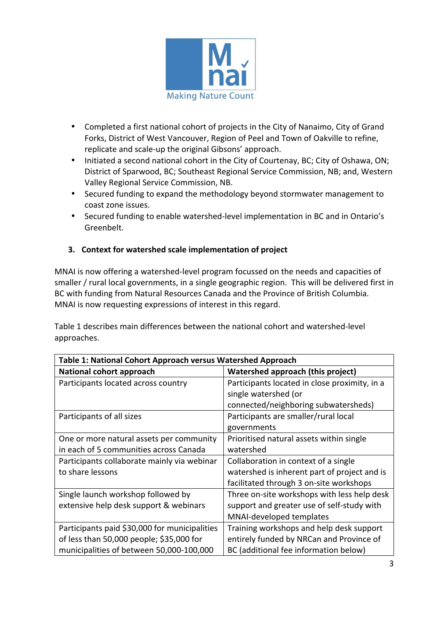

- Completed a first national cohort of projects in the City of Nanaimo, City of Grand Forks, District of West Vancouver, Region of Peel and Town of Oakville to refine, replicate and scale-up the original Gibsons' approach.
- Initiated a second national cohort in the City of Courtenay, BC; City of Oshawa, ON; District of Sparwood, BC; Southeast Regional Service Commission, NB; and, Western Valley Regional Service Commission, NB.
- Secured funding to expand the methodology beyond stormwater management to coast zone issues.
- Secured funding to enable watershed-level implementation in BC and in Ontario's Greenbelt.

## **3.** Context for watershed scale implementation of project

MNAI is now offering a watershed-level program focussed on the needs and capacities of smaller / rural local governments, in a single geographic region. This will be delivered first in BC with funding from Natural Resources Canada and the Province of British Columbia. MNAI is now requesting expressions of interest in this regard.

Table 1 describes main differences between the national cohort and watershed-level approaches.

| Table 1: National Cohort Approach versus Watershed Approach |                                               |
|-------------------------------------------------------------|-----------------------------------------------|
| <b>National cohort approach</b>                             | Watershed approach (this project)             |
| Participants located across country                         | Participants located in close proximity, in a |
|                                                             | single watershed (or                          |
|                                                             | connected/neighboring subwatersheds)          |
| Participants of all sizes                                   | Participants are smaller/rural local          |
|                                                             | governments                                   |
| One or more natural assets per community                    | Prioritised natural assets within single      |
| in each of 5 communities across Canada                      | watershed                                     |
| Participants collaborate mainly via webinar                 | Collaboration in context of a single          |
| to share lessons                                            | watershed is inherent part of project and is  |
|                                                             | facilitated through 3 on-site workshops       |
| Single launch workshop followed by                          | Three on-site workshops with less help desk   |
| extensive help desk support & webinars                      | support and greater use of self-study with    |
|                                                             | MNAI-developed templates                      |
| Participants paid \$30,000 for municipalities               | Training workshops and help desk support      |
| of less than 50,000 people; \$35,000 for                    | entirely funded by NRCan and Province of      |
| municipalities of between 50,000-100,000                    | BC (additional fee information below)         |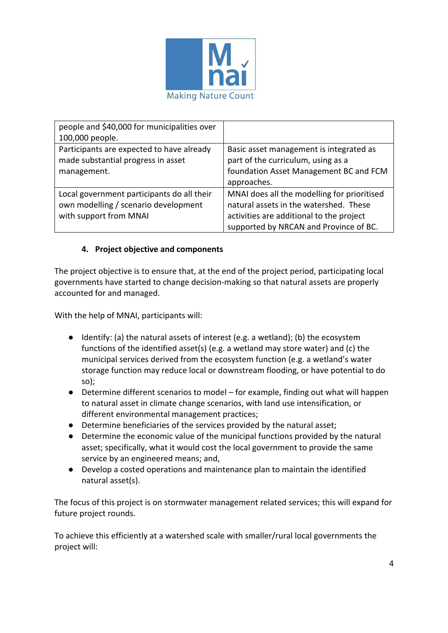

| people and \$40,000 for municipalities over<br>100,000 people.                                               |                                                                                                                                                                             |
|--------------------------------------------------------------------------------------------------------------|-----------------------------------------------------------------------------------------------------------------------------------------------------------------------------|
| Participants are expected to have already<br>made substantial progress in asset<br>management.               | Basic asset management is integrated as<br>part of the curriculum, using as a<br>foundation Asset Management BC and FCM<br>approaches.                                      |
| Local government participants do all their<br>own modelling / scenario development<br>with support from MNAI | MNAI does all the modelling for prioritised<br>natural assets in the watershed. These<br>activities are additional to the project<br>supported by NRCAN and Province of BC. |

#### **4.** Project objective and components

The project objective is to ensure that, at the end of the project period, participating local governments have started to change decision-making so that natural assets are properly accounted for and managed.

With the help of MNAI, participants will:

- $\bullet$  Identify: (a) the natural assets of interest (e.g. a wetland); (b) the ecosystem functions of the identified asset(s) (e.g. a wetland may store water) and (c) the municipal services derived from the ecosystem function (e.g. a wetland's water storage function may reduce local or downstream flooding, or have potential to do so);
- Determine different scenarios to model for example, finding out what will happen to natural asset in climate change scenarios, with land use intensification, or different environmental management practices;
- Determine beneficiaries of the services provided by the natural asset;
- Determine the economic value of the municipal functions provided by the natural asset; specifically, what it would cost the local government to provide the same service by an engineered means; and,
- Develop a costed operations and maintenance plan to maintain the identified natural asset(s).

The focus of this project is on stormwater management related services; this will expand for future project rounds.

To achieve this efficiently at a watershed scale with smaller/rural local governments the project will: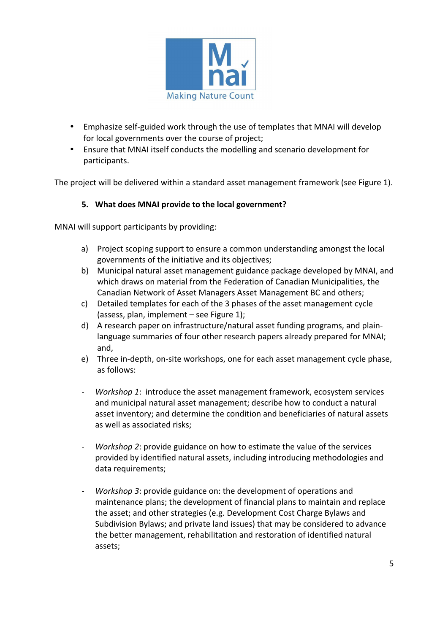

- Emphasize self-guided work through the use of templates that MNAI will develop for local governments over the course of project;
- Ensure that MNAI itself conducts the modelling and scenario development for participants.

The project will be delivered within a standard asset management framework (see Figure 1).

#### **5.** What does MNAI provide to the local government?

MNAI will support participants by providing:

- a) Project scoping support to ensure a common understanding amongst the local governments of the initiative and its objectives;
- b) Municipal natural asset management guidance package developed by MNAI, and which draws on material from the Federation of Canadian Municipalities, the Canadian Network of Asset Managers Asset Management BC and others;
- c) Detailed templates for each of the 3 phases of the asset management cycle (assess, plan, implement – see Figure 1);
- d) A research paper on infrastructure/natural asset funding programs, and plainlanguage summaries of four other research papers already prepared for MNAI; and,
- e) Three in-depth, on-site workshops, one for each asset management cycle phase, as follows:
- *Workshop 1*: introduce the asset management framework, ecosystem services and municipal natural asset management; describe how to conduct a natural asset inventory; and determine the condition and beneficiaries of natural assets as well as associated risks;
- *Workshop* 2: provide guidance on how to estimate the value of the services provided by identified natural assets, including introducing methodologies and data requirements;
- *Workshop* 3: provide guidance on: the development of operations and maintenance plans; the development of financial plans to maintain and replace the asset; and other strategies (e.g. Development Cost Charge Bylaws and Subdivision Bylaws; and private land issues) that may be considered to advance the better management, rehabilitation and restoration of identified natural assets;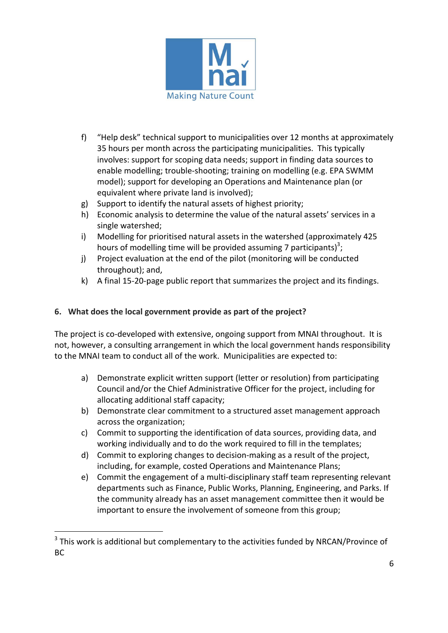

- f) "Help desk" technical support to municipalities over 12 months at approximately 35 hours per month across the participating municipalities. This typically involves: support for scoping data needs; support in finding data sources to enable modelling; trouble-shooting; training on modelling (e.g. EPA SWMM model); support for developing an Operations and Maintenance plan (or equivalent where private land is involved);
- $g$ ) Support to identify the natural assets of highest priority;
- h) Economic analysis to determine the value of the natural assets' services in a single watershed;
- i) Modelling for prioritised natural assets in the watershed (approximately 425 hours of modelling time will be provided assuming 7 participants)<sup>3</sup>;
- j) Project evaluation at the end of the pilot (monitoring will be conducted throughout); and,
- k) A final 15-20-page public report that summarizes the project and its findings.

### **6.** What does the local government provide as part of the project?

 

The project is co-developed with extensive, ongoing support from MNAI throughout. It is not, however, a consulting arrangement in which the local government hands responsibility to the MNAI team to conduct all of the work. Municipalities are expected to:

- a) Demonstrate explicit written support (letter or resolution) from participating Council and/or the Chief Administrative Officer for the project, including for allocating additional staff capacity;
- b) Demonstrate clear commitment to a structured asset management approach across the organization;
- c) Commit to supporting the identification of data sources, providing data, and working individually and to do the work required to fill in the templates;
- d) Commit to exploring changes to decision-making as a result of the project, including, for example, costed Operations and Maintenance Plans;
- e) Commit the engagement of a multi-disciplinary staff team representing relevant departments such as Finance, Public Works, Planning, Engineering, and Parks. If the community already has an asset management committee then it would be important to ensure the involvement of someone from this group;

 $3$  This work is additional but complementary to the activities funded by NRCAN/Province of BC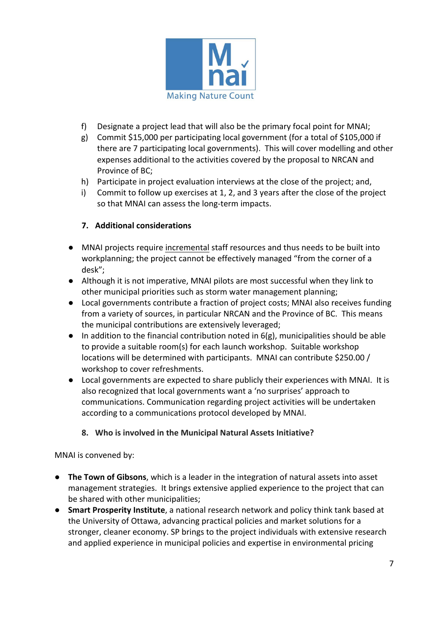

- f) Designate a project lead that will also be the primary focal point for MNAI;
- g) Commit \$15,000 per participating local government (for a total of \$105,000 if there are 7 participating local governments). This will cover modelling and other expenses additional to the activities covered by the proposal to NRCAN and Province of BC:
- h) Participate in project evaluation interviews at the close of the project; and,
- $i)$  Commit to follow up exercises at 1, 2, and 3 years after the close of the project so that MNAI can assess the long-term impacts.

## **7. Additional considerations**

- MNAI projects require incremental staff resources and thus needs to be built into workplanning; the project cannot be effectively managed "from the corner of a desk";
- Although it is not imperative, MNAI pilots are most successful when they link to other municipal priorities such as storm water management planning;
- Local governments contribute a fraction of project costs; MNAI also receives funding from a variety of sources, in particular NRCAN and the Province of BC. This means the municipal contributions are extensively leveraged;
- $\bullet$  In addition to the financial contribution noted in 6(g), municipalities should be able to provide a suitable room(s) for each launch workshop. Suitable workshop locations will be determined with participants. MNAI can contribute \$250.00 / workshop to cover refreshments.
- Local governments are expected to share publicly their experiences with MNAI. It is also recognized that local governments want a 'no surprises' approach to communications. Communication regarding project activities will be undertaken according to a communications protocol developed by MNAI.

### 8. Who is involved in the Municipal Natural Assets Initiative?

MNAI is convened by:

- **The Town of Gibsons**, which is a leader in the integration of natural assets into asset management strategies. It brings extensive applied experience to the project that can be shared with other municipalities;
- **Smart Prosperity Institute**, a national research network and policy think tank based at the University of Ottawa, advancing practical policies and market solutions for a stronger, cleaner economy. SP brings to the project individuals with extensive research and applied experience in municipal policies and expertise in environmental pricing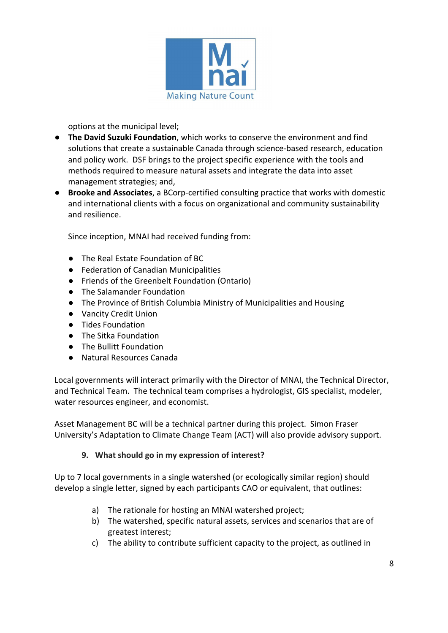

options at the municipal level;

- **The David Suzuki Foundation**, which works to conserve the environment and find solutions that create a sustainable Canada through science-based research, education and policy work. DSF brings to the project specific experience with the tools and methods required to measure natural assets and integrate the data into asset management strategies; and,
- **Brooke and Associates**, a BCorp-certified consulting practice that works with domestic and international clients with a focus on organizational and community sustainability and resilience.

Since inception, MNAI had received funding from:

- The Real Estate Foundation of BC
- Federation of Canadian Municipalities
- Friends of the Greenbelt Foundation (Ontario)
- The Salamander Foundation
- The Province of British Columbia Ministry of Municipalities and Housing
- Vancity Credit Union
- Tides Foundation
- The Sitka Foundation
- The Bullitt Foundation
- Natural Resources Canada

Local governments will interact primarily with the Director of MNAI, the Technical Director, and Technical Team. The technical team comprises a hydrologist, GIS specialist, modeler, water resources engineer, and economist.

Asset Management BC will be a technical partner during this project. Simon Fraser University's Adaptation to Climate Change Team (ACT) will also provide advisory support.

#### **9.** What should go in my expression of interest?

Up to 7 local governments in a single watershed (or ecologically similar region) should develop a single letter, signed by each participants CAO or equivalent, that outlines:

- a) The rationale for hosting an MNAI watershed project;
- b) The watershed, specific natural assets, services and scenarios that are of greatest interest;
- c) The ability to contribute sufficient capacity to the project, as outlined in